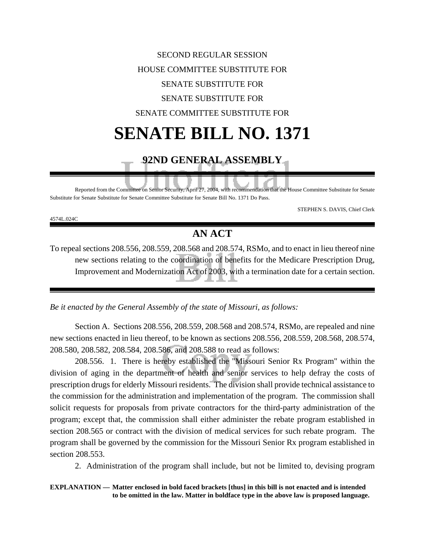#### SECOND REGULAR SESSION HOUSE COMMITTEE SUBSTITUTE FOR SENATE SUBSTITUTE FOR SENATE SUBSTITUTE FOR SENATE COMMITTEE SUBSTITUTE FOR

### **SENATE BILL NO. 1371**

#### **92ND GENERAL ASSEMBLY**

Reported from the Committee on Senior Security, April 27, 2004, with recommendation that the House Committee Substitute for Senate Substitute for Senate Substitute for Senate Committee Substitute for Senate Bill No. 1371 Do Pass.

STEPHEN S. DAVIS, Chief Clerk

4574L.024C

#### **AN ACT**

To repeal sections 208.556, 208.559, 208.568 and 208.574, RSMo, and to enact in lieu thereof nine new sections relating to the coordination of benefits for the Medicare Prescription Drug, Improvement and Modernization Act of 2003, with a termination date for a certain section.

*Be it enacted by the General Assembly of the state of Missouri, as follows:*

Section A. Sections 208.556, 208.559, 208.568 and 208.574, RSMo, are repealed and nine new sections enacted in lieu thereof, to be known as sections 208.556, 208.559, 208.568, 208.574, 208.580, 208.582, 208.584, 208.586, and 208.588 to read as follows:

208.556. 1. There is hereby established the "Missouri Senior Rx Program" within the division of aging in the department of health and senior services to help defray the costs of prescription drugs for elderly Missouri residents. The division shall provide technical assistance to the commission for the administration and implementation of the program. The commission shall solicit requests for proposals from private contractors for the third-party administration of the program; except that, the commission shall either administer the rebate program established in section 208.565 or contract with the division of medical services for such rebate program. The program shall be governed by the commission for the Missouri Senior Rx program established in section 208.553.

2. Administration of the program shall include, but not be limited to, devising program

**EXPLANATION — Matter enclosed in bold faced brackets [thus] in this bill is not enacted and is intended to be omitted in the law. Matter in boldface type in the above law is proposed language.**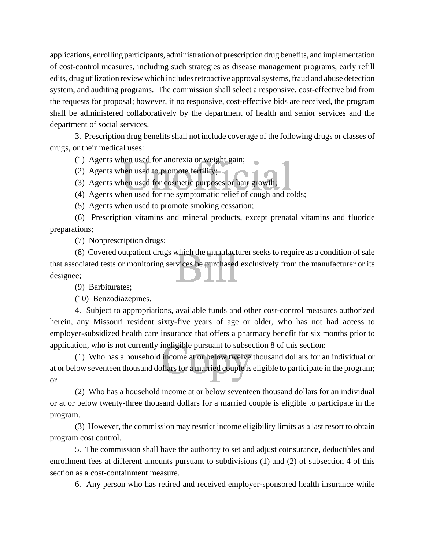applications, enrolling participants, administration of prescription drug benefits, and implementation of cost-control measures, including such strategies as disease management programs, early refill edits, drug utilization review which includes retroactive approval systems, fraud and abuse detection system, and auditing programs. The commission shall select a responsive, cost-effective bid from the requests for proposal; however, if no responsive, cost-effective bids are received, the program shall be administered collaboratively by the department of health and senior services and the department of social services.

3. Prescription drug benefits shall not include coverage of the following drugs or classes of drugs, or their medical uses:

(1) Agents when used for anorexia or weight gain;

(2) Agents when used to promote fertility;

(3) Agents when used for cosmetic purposes or hair growth;

(4) Agents when used for the symptomatic relief of cough and colds;

(5) Agents when used to promote smoking cessation;

(6) Prescription vitamins and mineral products, except prenatal vitamins and fluoride preparations;

(7) Nonprescription drugs;

(8) Covered outpatient drugs which the manufacturer seeks to require as a condition of sale that associated tests or monitoring services be purchased exclusively from the manufacturer or its designee;

(9) Barbiturates;

(10) Benzodiazepines.

4. Subject to appropriations, available funds and other cost-control measures authorized herein, any Missouri resident sixty-five years of age or older, who has not had access to employer-subsidized health care insurance that offers a pharmacy benefit for six months prior to application, who is not currently ineligible pursuant to subsection 8 of this section:

(1) Who has a household income at or below twelve thousand dollars for an individual or at or below seventeen thousand dollars for a married couple is eligible to participate in the program; or

(2) Who has a household income at or below seventeen thousand dollars for an individual or at or below twenty-three thousand dollars for a married couple is eligible to participate in the program.

(3) However, the commission may restrict income eligibility limits as a last resort to obtain program cost control.

5. The commission shall have the authority to set and adjust coinsurance, deductibles and enrollment fees at different amounts pursuant to subdivisions (1) and (2) of subsection 4 of this section as a cost-containment measure.

6. Any person who has retired and received employer-sponsored health insurance while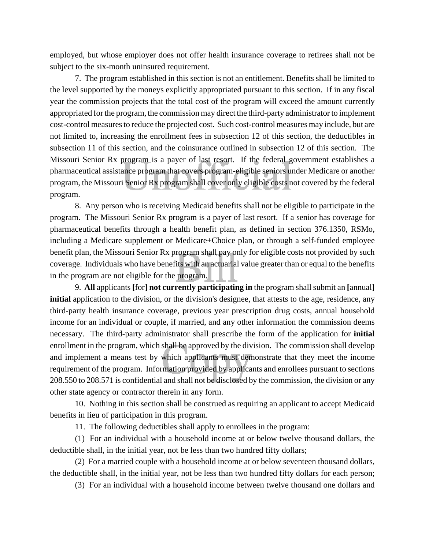employed, but whose employer does not offer health insurance coverage to retirees shall not be subject to the six-month uninsured requirement.

7. The program established in this section is not an entitlement. Benefits shall be limited to the level supported by the moneys explicitly appropriated pursuant to this section. If in any fiscal year the commission projects that the total cost of the program will exceed the amount currently appropriated for the program, the commission may direct the third-party administrator to implement cost-control measures to reduce the projected cost. Such cost-control measures may include, but are not limited to, increasing the enrollment fees in subsection 12 of this section, the deductibles in subsection 11 of this section, and the coinsurance outlined in subsection 12 of this section. The Missouri Senior Rx program is a payer of last resort. If the federal government establishes a pharmaceutical assistance program that covers program-eligible seniors under Medicare or another program, the Missouri Senior Rx program shall cover only eligible costs not covered by the federal program.

8. Any person who is receiving Medicaid benefits shall not be eligible to participate in the program. The Missouri Senior Rx program is a payer of last resort. If a senior has coverage for pharmaceutical benefits through a health benefit plan, as defined in section 376.1350, RSMo, including a Medicare supplement or Medicare+Choice plan, or through a self-funded employee benefit plan, the Missouri Senior Rx program shall pay only for eligible costs not provided by such coverage. Individuals who have benefits with an actuarial value greater than or equal to the benefits in the program are not eligible for the program.

9. **All** applicants **[**for**] not currently participating in** the program shall submit an **[**annual**] initial** application to the division, or the division's designee, that attests to the age, residence, any third-party health insurance coverage, previous year prescription drug costs, annual household income for an individual or couple, if married, and any other information the commission deems necessary. The third-party administrator shall prescribe the form of the application for **initial** enrollment in the program, which shall be approved by the division. The commission shall develop and implement a means test by which applicants must demonstrate that they meet the income requirement of the program. Information provided by applicants and enrollees pursuant to sections 208.550 to 208.571 is confidential and shall not be disclosed by the commission, the division or any other state agency or contractor therein in any form.

10. Nothing in this section shall be construed as requiring an applicant to accept Medicaid benefits in lieu of participation in this program.

11. The following deductibles shall apply to enrollees in the program:

(1) For an individual with a household income at or below twelve thousand dollars, the deductible shall, in the initial year, not be less than two hundred fifty dollars;

(2) For a married couple with a household income at or below seventeen thousand dollars, the deductible shall, in the initial year, not be less than two hundred fifty dollars for each person;

(3) For an individual with a household income between twelve thousand one dollars and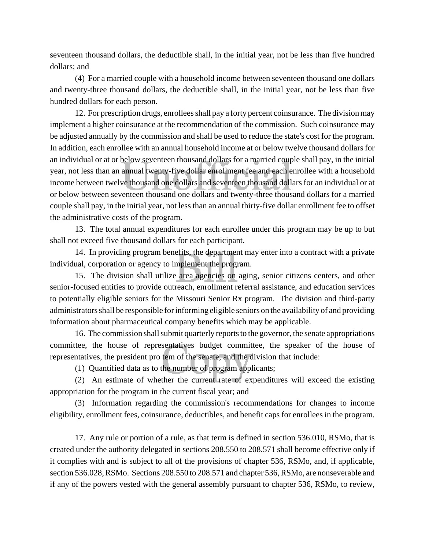seventeen thousand dollars, the deductible shall, in the initial year, not be less than five hundred dollars; and

(4) For a married couple with a household income between seventeen thousand one dollars and twenty-three thousand dollars, the deductible shall, in the initial year, not be less than five hundred dollars for each person.

12. For prescription drugs, enrollees shall pay a forty percent coinsurance. The division may implement a higher coinsurance at the recommendation of the commission. Such coinsurance may be adjusted annually by the commission and shall be used to reduce the state's cost for the program. In addition, each enrollee with an annual household income at or below twelve thousand dollars for an individual or at or below seventeen thousand dollars for a married couple shall pay, in the initial year, not less than an annual twenty-five dollar enrollment fee and each enrollee with a household income between twelve thousand one dollars and seventeen thousand dollars for an individual or at or below between seventeen thousand one dollars and twenty-three thousand dollars for a married couple shall pay, in the initial year, not less than an annual thirty-five dollar enrollment fee to offset the administrative costs of the program.

13. The total annual expenditures for each enrollee under this program may be up to but shall not exceed five thousand dollars for each participant.

14. In providing program benefits, the department may enter into a contract with a private individual, corporation or agency to implement the program.

15. The division shall utilize area agencies on aging, senior citizens centers, and other senior-focused entities to provide outreach, enrollment referral assistance, and education services to potentially eligible seniors for the Missouri Senior Rx program. The division and third-party administrators shall be responsible for informing eligible seniors on the availability of and providing information about pharmaceutical company benefits which may be applicable.

16. The commission shall submit quarterly reports to the governor, the senate appropriations committee, the house of representatives budget committee, the speaker of the house of representatives, the president pro tem of the senate, and the division that include:

(1) Quantified data as to the number of program applicants;

(2) An estimate of whether the current rate of expenditures will exceed the existing appropriation for the program in the current fiscal year; and

(3) Information regarding the commission's recommendations for changes to income eligibility, enrollment fees, coinsurance, deductibles, and benefit caps for enrollees in the program.

17. Any rule or portion of a rule, as that term is defined in section 536.010, RSMo, that is created under the authority delegated in sections 208.550 to 208.571 shall become effective only if it complies with and is subject to all of the provisions of chapter 536, RSMo, and, if applicable, section 536.028, RSMo. Sections 208.550 to 208.571 and chapter 536, RSMo, are nonseverable and if any of the powers vested with the general assembly pursuant to chapter 536, RSMo, to review,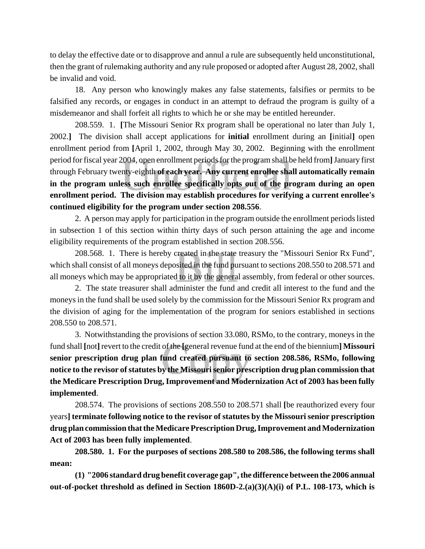to delay the effective date or to disapprove and annul a rule are subsequently held unconstitutional, then the grant of rulemaking authority and any rule proposed or adopted after August 28, 2002, shall be invalid and void.

18. Any person who knowingly makes any false statements, falsifies or permits to be falsified any records, or engages in conduct in an attempt to defraud the program is guilty of a misdemeanor and shall forfeit all rights to which he or she may be entitled hereunder.

208.559. 1. **[**The Missouri Senior Rx program shall be operational no later than July 1, 2002.**]** The division shall accept applications for **initial** enrollment during an **[**initial**]** open enrollment period from **[**April 1, 2002, through May 30, 2002. Beginning with the enrollment period for fiscal year 2004, open enrollment periods for the program shall be held from**]** January first through February twenty-eighth **of each year. Any current enrollee shall automatically remain in the program unless such enrollee specifically opts out of the program during an open enrollment period. The division may establish procedures for verifying a current enrollee's continued eligibility for the program under section 208.556**.

2. A person may apply for participation in the program outside the enrollment periods listed in subsection 1 of this section within thirty days of such person attaining the age and income eligibility requirements of the program established in section 208.556.

208.568. 1. There is hereby created in the state treasury the "Missouri Senior Rx Fund", which shall consist of all moneys deposited in the fund pursuant to sections 208.550 to 208.571 and all moneys which may be appropriated to it by the general assembly, from federal or other sources.

2. The state treasurer shall administer the fund and credit all interest to the fund and the moneys in the fund shall be used solely by the commission for the Missouri Senior Rx program and the division of aging for the implementation of the program for seniors established in sections 208.550 to 208.571.

3. Notwithstanding the provisions of section 33.080, RSMo, to the contrary, moneys in the fund shall **[**not**]** revert to the credit of the **[**general revenue fund at the end of the biennium**] Missouri senior prescription drug plan fund created pursuant to section 208.586, RSMo, following notice to the revisor of statutes by the Missouri senior prescription drug plan commission that the Medicare Prescription Drug, Improvement and Modernization Act of 2003 has been fully implemented**.

208.574. The provisions of sections 208.550 to 208.571 shall **[**be reauthorized every four years**] terminate following notice to the revisor of statutes by the Missouri senior prescription drug plan commission that the Medicare Prescription Drug, Improvement and Modernization Act of 2003 has been fully implemented**.

**208.580. 1. For the purposes of sections 208.580 to 208.586, the following terms shall mean:**

**(1) "2006 standard drug benefit coverage gap", the difference between the 2006 annual out-of-pocket threshold as defined in Section 1860D-2.(a)(3)(A)(i) of P.L. 108-173, which is**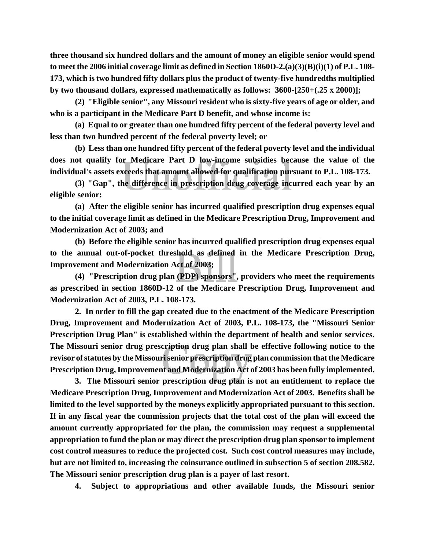**three thousand six hundred dollars and the amount of money an eligible senior would spend to meet the 2006 initial coverage limit as defined in Section 1860D-2.(a)(3)(B)(i)(1) of P.L. 108- 173, which is two hundred fifty dollars plus the product of twenty-five hundredths multiplied by two thousand dollars, expressed mathematically as follows: 3600-[250+(.25 x 2000)];**

**(2) "Eligible senior", any Missouri resident who is sixty-five years of age or older, and who is a participant in the Medicare Part D benefit, and whose income is:**

**(a) Equal to or greater than one hundred fifty percent of the federal poverty level and less than two hundred percent of the federal poverty level; or**

**(b) Less than one hundred fifty percent of the federal poverty level and the individual does not qualify for Medicare Part D low-income subsidies because the value of the individual's assets exceeds that amount allowed for qualification pursuant to P.L. 108-173.**

**(3) "Gap", the difference in prescription drug coverage incurred each year by an eligible senior:**

**(a) After the eligible senior has incurred qualified prescription drug expenses equal to the initial coverage limit as defined in the Medicare Prescription Drug, Improvement and Modernization Act of 2003; and**

**(b) Before the eligible senior has incurred qualified prescription drug expenses equal to the annual out-of-pocket threshold as defined in the Medicare Prescription Drug, Improvement and Modernization Act of 2003;**

**(4) "Prescription drug plan (PDP) sponsors", providers who meet the requirements as prescribed in section 1860D-12 of the Medicare Prescription Drug, Improvement and Modernization Act of 2003, P.L. 108-173.**

**2. In order to fill the gap created due to the enactment of the Medicare Prescription Drug, Improvement and Modernization Act of 2003, P.L. 108-173, the "Missouri Senior Prescription Drug Plan" is established within the department of health and senior services. The Missouri senior drug prescription drug plan shall be effective following notice to the revisor of statutes by the Missouri senior prescription drug plan commission that the Medicare Prescription Drug, Improvement and Modernization Act of 2003 has been fully implemented.**

**3. The Missouri senior prescription drug plan is not an entitlement to replace the Medicare Prescription Drug, Improvement and Modernization Act of 2003. Benefits shall be limited to the level supported by the moneys explicitly appropriated pursuant to this section. If in any fiscal year the commission projects that the total cost of the plan will exceed the amount currently appropriated for the plan, the commission may request a supplemental appropriation to fund the plan or may direct the prescription drug plan sponsor to implement cost control measures to reduce the projected cost. Such cost control measures may include, but are not limited to, increasing the coinsurance outlined in subsection 5 of section 208.582. The Missouri senior prescription drug plan is a payer of last resort.**

**4. Subject to appropriations and other available funds, the Missouri senior**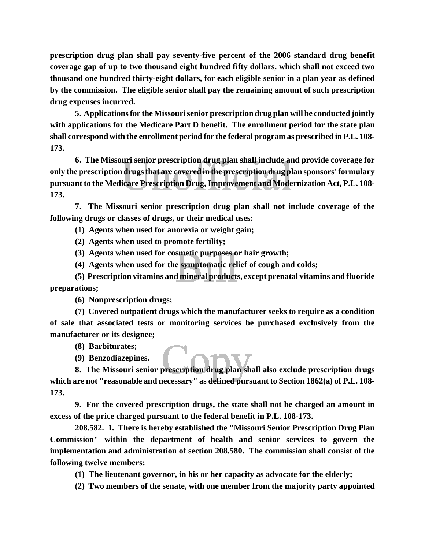**prescription drug plan shall pay seventy-five percent of the 2006 standard drug benefit coverage gap of up to two thousand eight hundred fifty dollars, which shall not exceed two thousand one hundred thirty-eight dollars, for each eligible senior in a plan year as defined by the commission. The eligible senior shall pay the remaining amount of such prescription drug expenses incurred.**

**5. Applications for the Missouri senior prescription drug plan will be conducted jointly with applications for the Medicare Part D benefit. The enrollment period for the state plan shall correspond with the enrollment period for the federal program as prescribed in P.L. 108- 173.**

**6. The Missouri senior prescription drug plan shall include and provide coverage for only the prescription drugs that are covered in the prescription drug plan sponsors' formulary pursuant to the Medicare Prescription Drug, Improvement and Modernization Act, P.L. 108- 173.**

**7. The Missouri senior prescription drug plan shall not include coverage of the following drugs or classes of drugs, or their medical uses:**

**(1) Agents when used for anorexia or weight gain;**

**(2) Agents when used to promote fertility;**

**(3) Agents when used for cosmetic purposes or hair growth;**

**(4) Agents when used for the symptomatic relief of cough and colds;**

**(5) Prescription vitamins and mineral products, except prenatal vitamins and fluoride preparations;**

**(6) Nonprescription drugs;**

**(7) Covered outpatient drugs which the manufacturer seeks to require as a condition of sale that associated tests or monitoring services be purchased exclusively from the manufacturer or its designee;**

**(8) Barbiturates;**

**(9) Benzodiazepines.**

**8. The Missouri senior prescription drug plan shall also exclude prescription drugs which are not "reasonable and necessary" as defined pursuant to Section 1862(a) of P.L. 108- 173.**

**9. For the covered prescription drugs, the state shall not be charged an amount in excess of the price charged pursuant to the federal benefit in P.L. 108-173.**

**208.582. 1. There is hereby established the "Missouri Senior Prescription Drug Plan Commission" within the department of health and senior services to govern the implementation and administration of section 208.580. The commission shall consist of the following twelve members:**

**(1) The lieutenant governor, in his or her capacity as advocate for the elderly;**

**(2) Two members of the senate, with one member from the majority party appointed**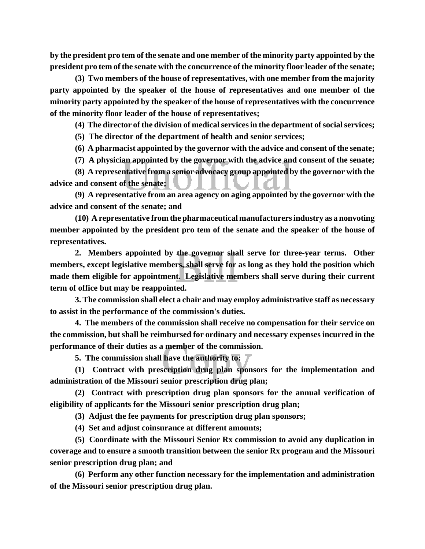**by the president pro tem of the senate and one member of the minority party appointed by the president pro tem of the senate with the concurrence of the minority floor leader of the senate;**

**(3) Two members of the house of representatives, with one member from the majority party appointed by the speaker of the house of representatives and one member of the minority party appointed by the speaker of the house of representatives with the concurrence of the minority floor leader of the house of representatives;**

**(4) The director of the division of medical services in the department of social services;**

**(5) The director of the department of health and senior services;**

**(6) A pharmacist appointed by the governor with the advice and consent of the senate;**

**(7) A physician appointed by the governor with the advice and consent of the senate;**

**(8) A representative from a senior advocacy group appointed by the governor with the advice and consent of the senate;**

**(9) A representative from an area agency on aging appointed by the governor with the advice and consent of the senate; and**

**(10) A representative from the pharmaceutical manufacturers industry as a nonvoting member appointed by the president pro tem of the senate and the speaker of the house of representatives.**

**2. Members appointed by the governor shall serve for three-year terms. Other members, except legislative members, shall serve for as long as they hold the position which made them eligible for appointment. Legislative members shall serve during their current term of office but may be reappointed.**

**3. The commission shall elect a chair and may employ administrative staff as necessary to assist in the performance of the commission's duties.**

**4. The members of the commission shall receive no compensation for their service on the commission, but shall be reimbursed for ordinary and necessary expenses incurred in the performance of their duties as a member of the commission.**

**5. The commission shall have the authority to:**

**(1) Contract with prescription drug plan sponsors for the implementation and administration of the Missouri senior prescription drug plan;**

**(2) Contract with prescription drug plan sponsors for the annual verification of eligibility of applicants for the Missouri senior prescription drug plan;**

**(3) Adjust the fee payments for prescription drug plan sponsors;**

**(4) Set and adjust coinsurance at different amounts;**

**(5) Coordinate with the Missouri Senior Rx commission to avoid any duplication in coverage and to ensure a smooth transition between the senior Rx program and the Missouri senior prescription drug plan; and**

**(6) Perform any other function necessary for the implementation and administration of the Missouri senior prescription drug plan.**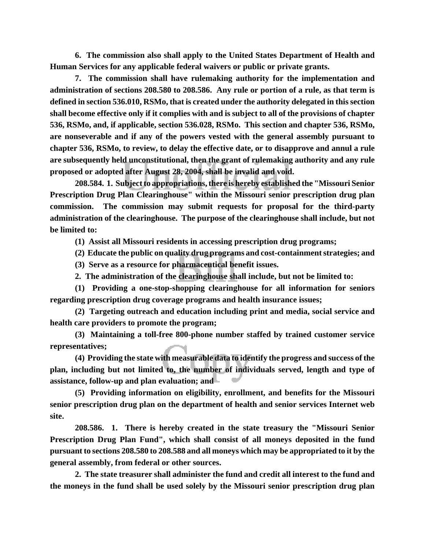**6. The commission also shall apply to the United States Department of Health and Human Services for any applicable federal waivers or public or private grants.**

**7. The commission shall have rulemaking authority for the implementation and administration of sections 208.580 to 208.586. Any rule or portion of a rule, as that term is defined in section 536.010, RSMo, that is created under the authority delegated in this section shall become effective only if it complies with and is subject to all of the provisions of chapter 536, RSMo, and, if applicable, section 536.028, RSMo. This section and chapter 536, RSMo, are nonseverable and if any of the powers vested with the general assembly pursuant to chapter 536, RSMo, to review, to delay the effective date, or to disapprove and annul a rule are subsequently held unconstitutional, then the grant of rulemaking authority and any rule proposed or adopted after August 28, 2004, shall be invalid and void.**

**208.584. 1. Subject to appropriations, there is hereby established the "Missouri Senior Prescription Drug Plan Clearinghouse" within the Missouri senior prescription drug plan commission. The commission may submit requests for proposal for the third-party administration of the clearinghouse. The purpose of the clearinghouse shall include, but not be limited to:**

**(1) Assist all Missouri residents in accessing prescription drug programs;**

**(2) Educate the public on quality drug programs and cost-containment strategies; and**

**(3) Serve as a resource for pharmaceutical benefit issues.**

**2. The administration of the clearinghouse shall include, but not be limited to:**

**(1) Providing a one-stop-shopping clearinghouse for all information for seniors regarding prescription drug coverage programs and health insurance issues;**

**(2) Targeting outreach and education including print and media, social service and health care providers to promote the program;**

**(3) Maintaining a toll-free 800-phone number staffed by trained customer service representatives;**

**(4) Providing the state with measurable data to identify the progress and success of the plan, including but not limited to, the number of individuals served, length and type of assistance, follow-up and plan evaluation; and**

**(5) Providing information on eligibility, enrollment, and benefits for the Missouri senior prescription drug plan on the department of health and senior services Internet web site.**

**208.586. 1. There is hereby created in the state treasury the "Missouri Senior Prescription Drug Plan Fund", which shall consist of all moneys deposited in the fund pursuant to sections 208.580 to 208.588 and all moneys which may be appropriated to it by the general assembly, from federal or other sources.** 

**2. The state treasurer shall administer the fund and credit all interest to the fund and the moneys in the fund shall be used solely by the Missouri senior prescription drug plan**